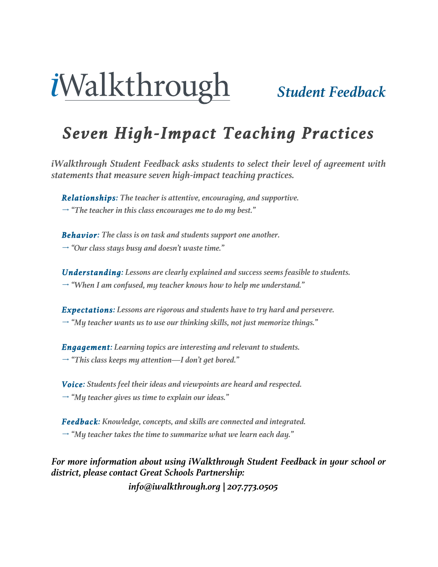# *Student Feedback*

### *Seven High-Impact Teaching Practices*

*iWalkthrough Student Feedback asks students to select their level of agreement with statements that measure seven high-impact teaching practices.*

*Relationships: The teacher is attentive, encouraging, and supportive. "The teacher in this class encourages me to do my best."*

*Behavior: The class is on task and students support one another. "Our class stays busy and doesn't waste time."*

*Understanding: Lessons are clearly explained and success seems feasible to students. "When I am confused, my teacher knows how to help me understand."*

*Expectations: Lessons are rigorous and students have to try hard and persevere. "My teacher wants us to use our thinking skills, not just memorize things."*

*Engagement: Learning topics are interesting and relevant to students. "This class keeps my attention—I don't get bored."*

*Voice: Students feel their ideas and viewpoints are heard and respected. "My teacher gives us time to explain our ideas."*

*Feedback: Knowledge, concepts, and skills are connected and integrated. "My teacher takes the time to summarize what we learn each day."*

*For more information about using iWalkthrough Student Feedback in your school or district, please contact Great Schools Partnership:* 

*info@iwalkthrough.org | 207.773.0505*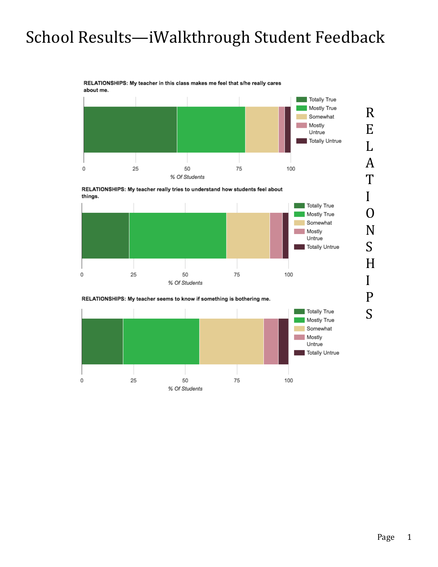#### RELATIONSHIPS: My teacher in this class makes me feel that s/he really cares about me.





S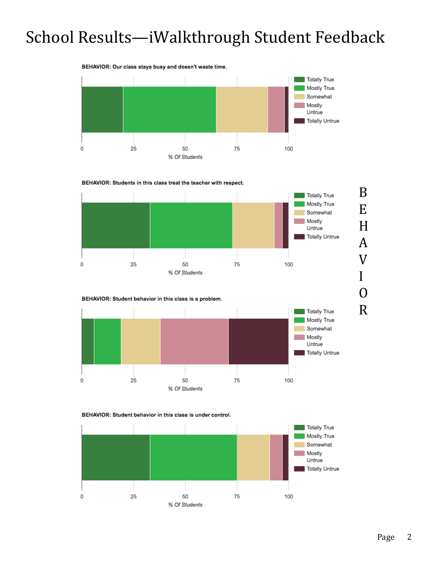#### BEHAVIOR: Our class stays busy and doesn't waste time. **Totally True** Mostly True Somewhat Mostly ×, Untrue **Totally Untrue** 25 50 75  $\mathbf 0$ 100 % Of Students









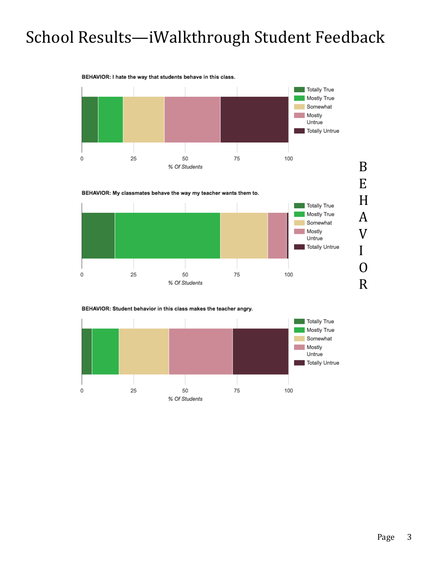#### BEHAVIOR: I hate the way that students behave in this class.





BEHAVIOR: Student behavior in this class makes the teacher angry.

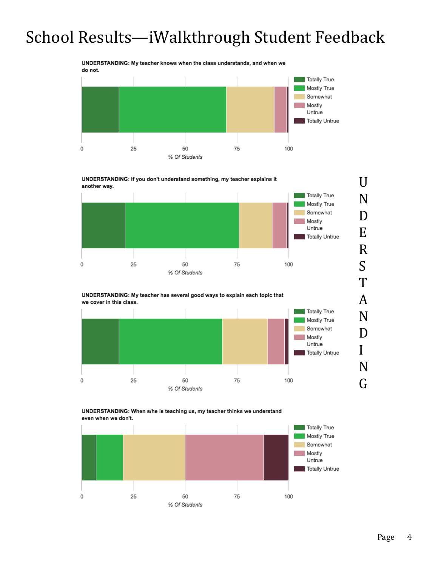UNDERSTANDING: My teacher knows when the class understands, and when we do not.







UNDERSTANDING: When s/he is teaching us, my teacher thinks we understand even when we don't.



N

D

I

N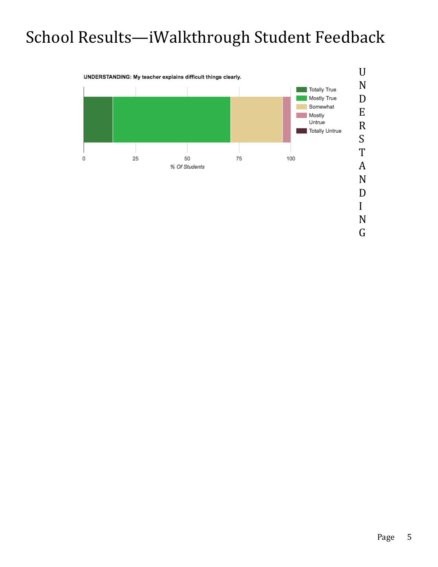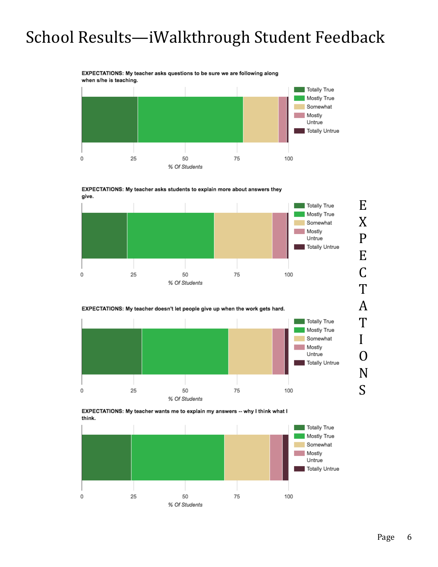#### EXPECTATIONS: My teacher asks questions to be sure we are following along when s/he is teaching.











EXPECTATIONS: My teacher wants me to explain my answers -- why I think what I think.



T

I

O

N

 $\overline{S}$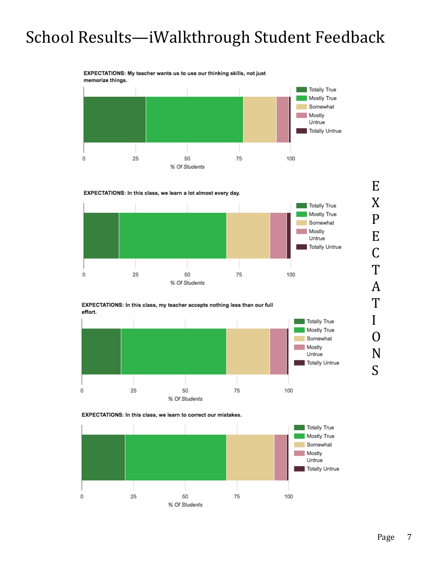EXPECTATIONS: My teacher wants us to use our thinking skills, not just memorize things.





#### EXPECTATIONS: In this class, my teacher accepts nothing less than our full effort.







S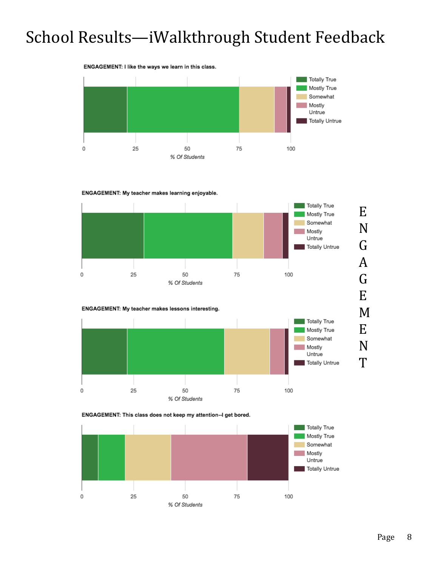#### ENGAGEMENT: I like the ways we learn in this class.



#### ENGAGEMENT: My teacher makes learning enjoyable.



#### ENGAGEMENT: My teacher makes lessons interesting.





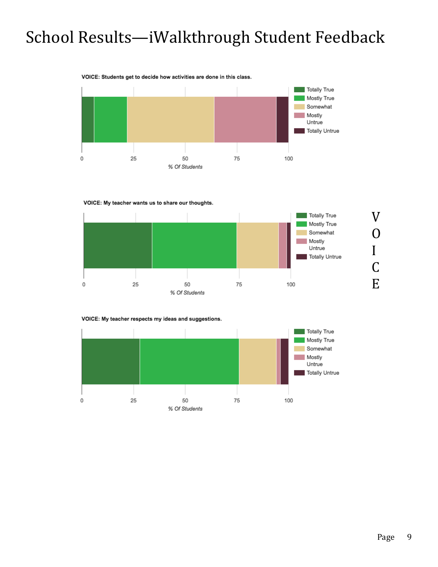#### VOICE: Students get to decide how activities are done in this class.









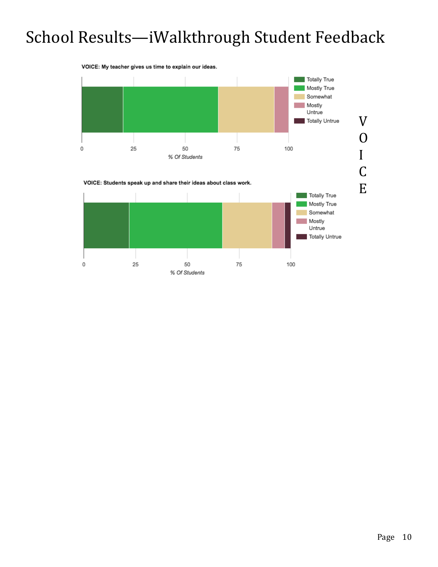